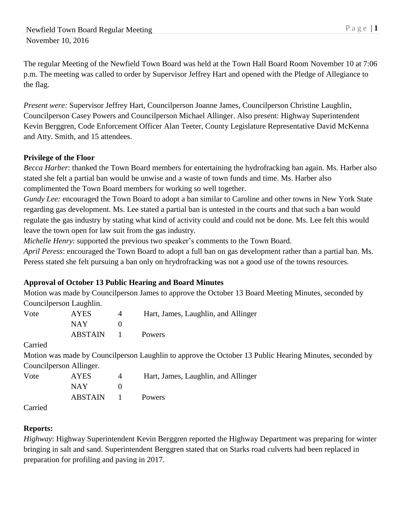The regular Meeting of the Newfield Town Board was held at the Town Hall Board Room November 10 at 7:06 p.m. The meeting was called to order by Supervisor Jeffrey Hart and opened with the Pledge of Allegiance to the flag.

*Present were:* Supervisor Jeffrey Hart, Councilperson Joanne James, Councilperson Christine Laughlin, Councilperson Casey Powers and Councilperson Michael Allinger. Also present: Highway Superintendent Kevin Berggren, Code Enforcement Officer Alan Teeter, County Legislature Representative David McKenna and Atty. Smith, and 15 attendees.

### **Privilege of the Floor**

*Becca Harber*: thanked the Town Board members for entertaining the hydrofracking ban again. Ms. Harber also stated she felt a partial ban would be unwise and a waste of town funds and time. Ms. Harber also complimented the Town Board members for working so well together.

*Gundy Lee:* encouraged the Town Board to adopt a ban similar to Caroline and other towns in New York State regarding gas development. Ms. Lee stated a partial ban is untested in the courts and that such a ban would regulate the gas industry by stating what kind of activity could and could not be done. Ms. Lee felt this would leave the town open for law suit from the gas industry.

*Michelle Henry*: supported the previous two speaker's comments to the Town Board.

*April Peress*: encouraged the Town Board to adopt a full ban on gas development rather than a partial ban. Ms. Peress stated she felt pursuing a ban only on hrydrofracking was not a good use of the towns resources.

# **Approval of October 13 Public Hearing and Board Minutes**

Motion was made by Councilperson James to approve the October 13 Board Meeting Minutes, seconded by Councilperson Laughlin.

| Vote | <b>AYES</b>    |                | Hart, James, Laughlin, and Allinger |
|------|----------------|----------------|-------------------------------------|
|      | NAY.           |                |                                     |
|      | <b>ABSTAIN</b> | $\blacksquare$ | <b>Powers</b>                       |

Carried

Motion was made by Councilperson Laughlin to approve the October 13 Public Hearing Minutes, seconded by Councilperson Allinger.

| Vote   | <b>AYES</b>    | $\Delta$     | Hart, James, Laughlin, and Allinger |
|--------|----------------|--------------|-------------------------------------|
|        | NAY.           |              |                                     |
|        | <b>ABSTAIN</b> | $\mathbf{I}$ | Powers                              |
| $\sim$ |                |              |                                     |

Carried

# **Reports:**

*Highway*: Highway Superintendent Kevin Berggren reported the Highway Department was preparing for winter bringing in salt and sand. Superintendent Berggren stated that on Starks road culverts had been replaced in preparation for profiling and paving in 2017.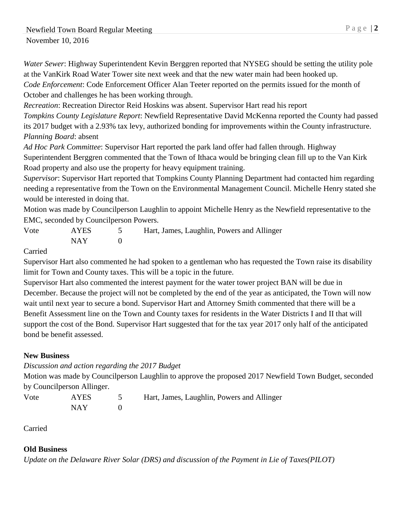*Water Sewer*: Highway Superintendent Kevin Berggren reported that NYSEG should be setting the utility pole at the VanKirk Road Water Tower site next week and that the new water main had been hooked up. *Code Enforcement*: Code Enforcement Officer Alan Teeter reported on the permits issued for the month of October and challenges he has been working through.

*Recreation*: Recreation Director Reid Hoskins was absent. Supervisor Hart read his report *Tompkins County Legislature Report*: Newfield Representative David McKenna reported the County had passed its 2017 budget with a 2.93% tax levy, authorized bonding for improvements within the County infrastructure.

*Planning Board*: absent

*Ad Hoc Park Committee*: Supervisor Hart reported the park land offer had fallen through. Highway Superintendent Berggren commented that the Town of Ithaca would be bringing clean fill up to the Van Kirk Road property and also use the property for heavy equipment training.

*Supervisor*: Supervisor Hart reported that Tompkins County Planning Department had contacted him regarding needing a representative from the Town on the Environmental Management Council. Michelle Henry stated she would be interested in doing that.

Motion was made by Councilperson Laughlin to appoint Michelle Henry as the Newfield representative to the EMC, seconded by Councilperson Powers.

Vote AYES 5 Hart, James, Laughlin, Powers and Allinger  $NAY$  0

Carried

Supervisor Hart also commented he had spoken to a gentleman who has requested the Town raise its disability limit for Town and County taxes. This will be a topic in the future.

Supervisor Hart also commented the interest payment for the water tower project BAN will be due in December. Because the project will not be completed by the end of the year as anticipated, the Town will now wait until next year to secure a bond. Supervisor Hart and Attorney Smith commented that there will be a Benefit Assessment line on the Town and County taxes for residents in the Water Districts I and II that will support the cost of the Bond. Supervisor Hart suggested that for the tax year 2017 only half of the anticipated bond be benefit assessed.

# **New Business**

*Discussion and action regarding the 2017 Budget*

Motion was made by Councilperson Laughlin to approve the proposed 2017 Newfield Town Budget, seconded by Councilperson Allinger.

NAY 0

Vote AYES 5 Hart, James, Laughlin, Powers and Allinger

Carried

### **Old Business**

*Update on the Delaware River Solar (DRS) and discussion of the Payment in Lie of Taxes(PILOT)*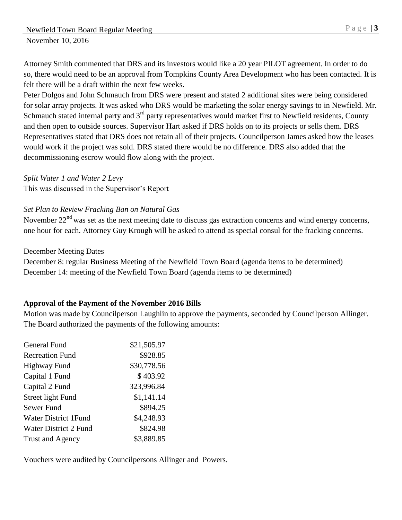Attorney Smith commented that DRS and its investors would like a 20 year PILOT agreement. In order to do so, there would need to be an approval from Tompkins County Area Development who has been contacted. It is felt there will be a draft within the next few weeks.

Peter Dolgos and John Schmauch from DRS were present and stated 2 additional sites were being considered for solar array projects. It was asked who DRS would be marketing the solar energy savings to in Newfield. Mr. Schmauch stated internal party and 3<sup>rd</sup> party representatives would market first to Newfield residents, County and then open to outside sources. Supervisor Hart asked if DRS holds on to its projects or sells them. DRS Representatives stated that DRS does not retain all of their projects. Councilperson James asked how the leases would work if the project was sold. DRS stated there would be no difference. DRS also added that the decommissioning escrow would flow along with the project.

*Split Water 1 and Water 2 Levy*

This was discussed in the Supervisor's Report

### *Set Plan to Review Fracking Ban on Natural Gas*

November 22<sup>nd</sup> was set as the next meeting date to discuss gas extraction concerns and wind energy concerns, one hour for each. Attorney Guy Krough will be asked to attend as special consul for the fracking concerns.

#### December Meeting Dates

December 8: regular Business Meeting of the Newfield Town Board (agenda items to be determined) December 14: meeting of the Newfield Town Board (agenda items to be determined)

### **Approval of the Payment of the November 2016 Bills**

Motion was made by Councilperson Laughlin to approve the payments, seconded by Councilperson Allinger. The Board authorized the payments of the following amounts:

| General Fund                | \$21,505.97 |
|-----------------------------|-------------|
| <b>Recreation Fund</b>      | \$928.85    |
| <b>Highway Fund</b>         | \$30,778.56 |
| Capital 1 Fund              | \$403.92    |
| Capital 2 Fund              | 323,996.84  |
| Street light Fund           | \$1,141.14  |
| Sewer Fund                  | \$894.25    |
| <b>Water District 1Fund</b> | \$4,248.93  |
| Water District 2 Fund       | \$824.98    |
| <b>Trust and Agency</b>     | \$3,889.85  |

Vouchers were audited by Councilpersons Allinger and Powers.